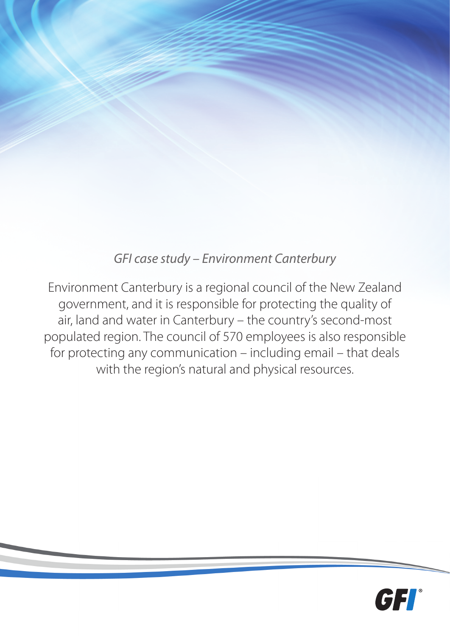# *GFI case study – Environment Canterbury*

Environment Canterbury is a regional council of the New Zealand government, and it is responsible for protecting the quality of air, land and water in Canterbury – the country's second-most populated region. The council of 570 employees is also responsible for protecting any communication – including email – that deals with the region's natural and physical resources.

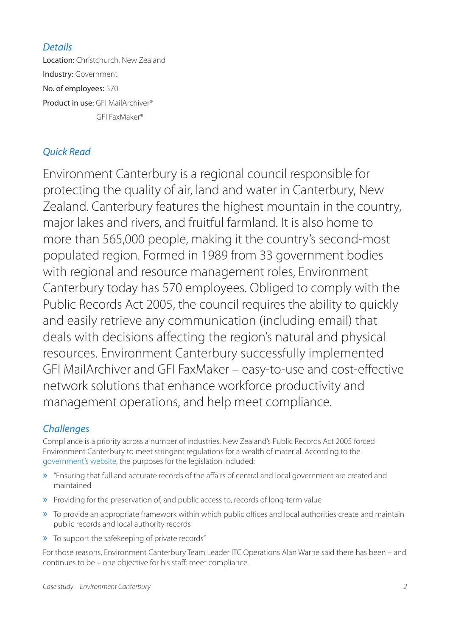*Details* Location: Christchurch, New Zealand Industry: Government No. of employees: 570 Product in use: GFI MailArchiver® GFI FaxMaker®

## *Quick Read*

Environment Canterbury is a regional council responsible for protecting the quality of air, land and water in Canterbury, New Zealand. Canterbury features the highest mountain in the country, major lakes and rivers, and fruitful farmland. It is also home to more than 565,000 people, making it the country's second-most populated region. Formed in 1989 from 33 government bodies with regional and resource management roles, Environment Canterbury today has 570 employees. Obliged to comply with the Public Records Act 2005, the council requires the ability to quickly and easily retrieve any communication (including email) that deals with decisions affecting the region's natural and physical resources. Environment Canterbury successfully implemented GFI MailArchiver and GFI FaxMaker – easy-to-use and cost-effective network solutions that enhance workforce productivity and management operations, and help meet compliance.

## *Challenges*

Compliance is a priority across a number of industries. New Zealand's Public Records Act 2005 forced Environment Canterbury to meet stringent regulations for a wealth of material. According to the [government's website,](http://www.legislation.govt.nz/act/public/2005/0040/latest/DLM345536.html) the purposes for the legislation included:

- » "Ensuring that full and accurate records of the affairs of central and local government are created and maintained
- » Providing for the preservation of, and public access to, records of long-term value
- » To provide an appropriate framework within which public offices and local authorities create and maintain public records and local authority records
- » To support the safekeeping of private records"

For those reasons, Environment Canterbury Team Leader ITC Operations Alan Warne said there has been – and continues to be – one objective for his staff: meet compliance.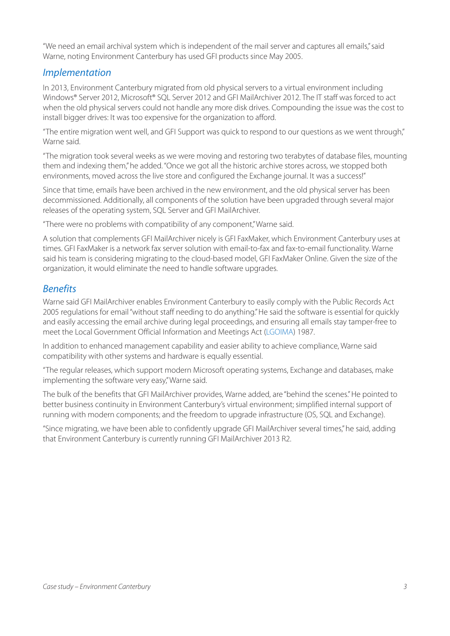"We need an email archival system which is independent of the mail server and captures all emails," said Warne, noting Environment Canterbury has used GFI products since May 2005.

## *Implementation*

In 2013, Environment Canterbury migrated from old physical servers to a virtual environment including Windows® Server 2012, Microsoft® SQL Server 2012 and GFI MailArchiver 2012. The IT staff was forced to act when the old physical servers could not handle any more disk drives. Compounding the issue was the cost to install bigger drives: It was too expensive for the organization to afford.

"The entire migration went well, and GFI Support was quick to respond to our questions as we went through," Warne said.

"The migration took several weeks as we were moving and restoring two terabytes of database files, mounting them and indexing them," he added. "Once we got all the historic archive stores across, we stopped both environments, moved across the live store and configured the Exchange journal. It was a success!"

Since that time, emails have been archived in the new environment, and the old physical server has been decommissioned. Additionally, all components of the solution have been upgraded through several major releases of the operating system, SQL Server and GFI MailArchiver.

"There were no problems with compatibility of any component," Warne said.

A solution that complements GFI MailArchiver nicely is GFI FaxMaker, which Environment Canterbury uses at times. GFI FaxMaker is a network fax server solution with email-to-fax and fax-to-email functionality. Warne said his team is considering migrating to the cloud-based model, GFI FaxMaker Online. Given the size of the organization, it would eliminate the need to handle software upgrades.

### *Benefits*

Warne said GFI MailArchiver enables Environment Canterbury to easily comply with the Public Records Act 2005 regulations for email "without staff needing to do anything." He said the software is essential for quickly and easily accessing the email archive during legal proceedings, and ensuring all emails stay tamper-free to meet the Local Government Official Information and Meetings Act [\(LGOIMA](http://www.legislation.govt.nz/act/public/1987/0174/latest/DLM122283.html)) 1987.

In addition to enhanced management capability and easier ability to achieve compliance, Warne said compatibility with other systems and hardware is equally essential.

"The regular releases, which support modern Microsoft operating systems, Exchange and databases, make implementing the software very easy," Warne said.

The bulk of the benefits that GFI MailArchiver provides, Warne added, are "behind the scenes." He pointed to better business continuity in Environment Canterbury's virtual environment; simplified internal support of running with modern components; and the freedom to upgrade infrastructure (OS, SQL and Exchange).

"Since migrating, we have been able to confidently upgrade GFI MailArchiver several times," he said, adding that Environment Canterbury is currently running GFI MailArchiver 2013 R2.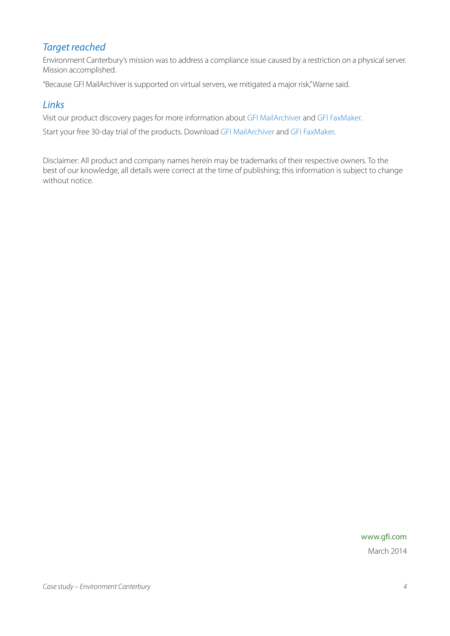## *Target reached*

Environment Canterbury's mission was to address a compliance issue caused by a restriction on a physical server. Mission accomplished.

"Because GFI MailArchiver is supported on virtual servers, we mitigated a major risk," Warne said.

## *Links*

Visit our product discovery pages for more information about [GFI MailArchiver](http://www.gfi.com/products-and-solutions/email-and-messaging-solutions/gfi-mailarchiver) and [GFI FaxMaker](http://www.gfi.com/products-and-solutions/email-and-messaging-solutions/gfi-faxmaker-online).

Start your free 30-day trial of the products. Download [GFI MailArchiver](http://www.gfi.com/products-and-solutions/email-and-messaging-solutions/gfi-mailarchiver/download) and [GFI FaxMaker.](http://www.gfi.com/products-and-solutions/email-and-messaging-solutions/gfi-faxmaker/download)

Disclaimer: All product and company names herein may be trademarks of their respective owners. To the best of our knowledge, all details were correct at the time of publishing; this information is subject to change without notice.

### [www.gfi.com](http://www.gfi.com)

March 2014